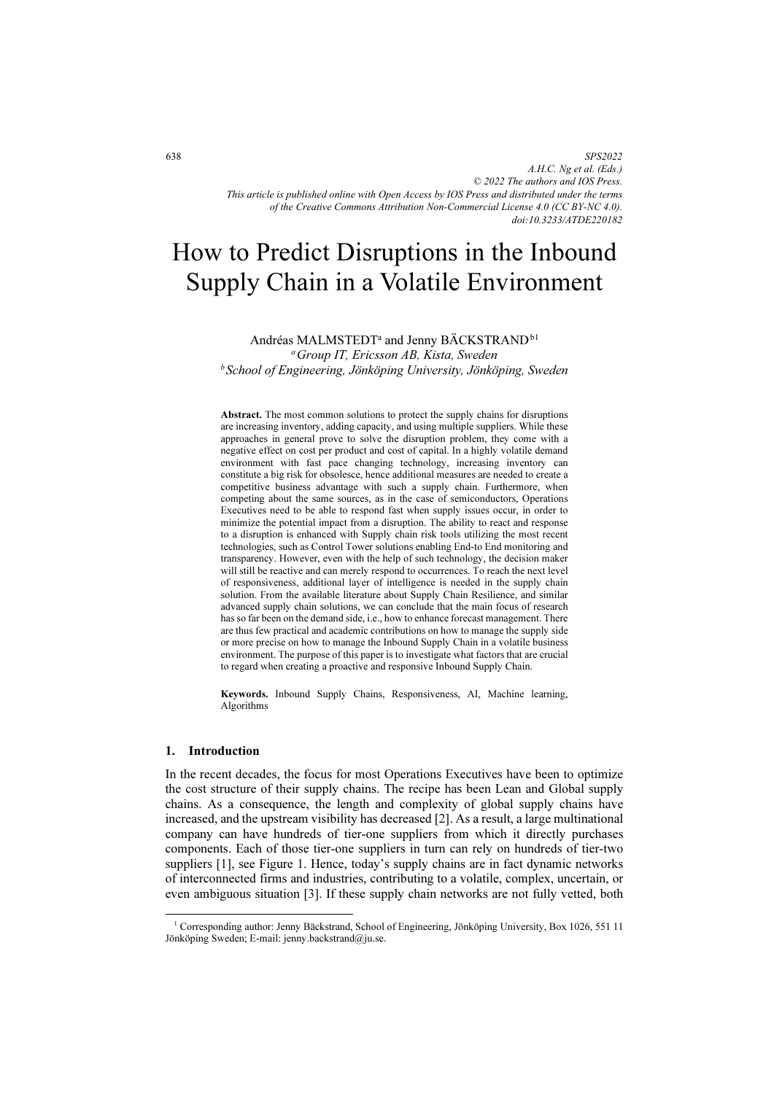*SPS2022 A.H.C. Ng et al. (Eds.) © 2022 The authors and IOS Press. This article is published online with Open Access by IOS Press and distributed under the terms of the Creative Commons Attribution Non-Commercial License 4.0 (CC BY-NC 4.0). doi:10.3233/ATDE220182*

# How to Predict Disruptions in the Inbound Supply Chain in a Volatile Environment

Andréas MALMSTEDT<sup>a</sup> and Jenny BÄCKSTRAND<sup>b1</sup><sup>*a*</sup> Group IT, Ericsson AB, Kista, Sweden  $b$  School of Engineering, Jönköping University, Jönköping, Sweden

Abstract. The most common solutions to protect the supply chains for disruptions are increasing inventory, adding capacity, and using multiple suppliers. While these approaches in general prove to solve the disruption problem, they come with a negative effect on cost per product and cost of capital. In a highly volatile demand environment with fast pace changing technology, increasing inventory can constitute a big risk for obsolesce, hence additional measures are needed to create a competitive business advantage with such a supply chain. Furthermore, when competing about the same sources, as in the case of semiconductors, Operations Executives need to be able to respond fast when supply issues occur, in order to minimize the potential impact from a disruption. The ability to react and response to a disruption is enhanced with Supply chain risk tools utilizing the most recent technologies, such as Control Tower solutions enabling End-to End monitoring and transparency. However, even with the help of such technology, the decision maker will still be reactive and can merely respond to occurrences. To reach the next level of responsiveness, additional layer of intelligence is needed in the supply chain solution. From the available literature about Supply Chain Resilience, and similar advanced supply chain solutions, we can conclude that the main focus of research has so far been on the demand side, i.e., how to enhance forecast management. There are thus few practical and academic contributions on how to manage the supply side or more precise on how to manage the Inbound Supply Chain in a volatile business environment. The purpose of this paper is to investigate what factors that are crucial to regard when creating a proactive and responsive Inbound Supply Chain.

Keywords. Inbound Supply Chains, Responsiveness, AI, Machine learning, Algorithms

#### 1. Introduction

In the recent decades, the focus for most Operations Executives have been to optimize the cost structure of their supply chains. The recipe has been Lean and Global supply chains. As a consequence, the length and complexity of global supply chains have increased, and the upstream visibility has decreased [2]. As a result, a large multinational company can have hundreds of tier-one suppliers from which it directly purchases components. Each of those tier-one suppliers in turn can rely on hundreds of tier-two suppliers [1], see Figure 1. Hence, today's supply chains are in fact dynamic networks of interconnected firms and industries, contributing to a volatile, complex, uncertain, or even ambiguous situation [3]. If these supply chain networks are not fully vetted, both

<sup>&</sup>lt;sup>1</sup> Corresponding author: Jenny Bäckstrand, School of Engineering, Jönköping University, Box 1026, 551 11 Jönköping Sweden; E-mail: jenny.backstrand@ju.se.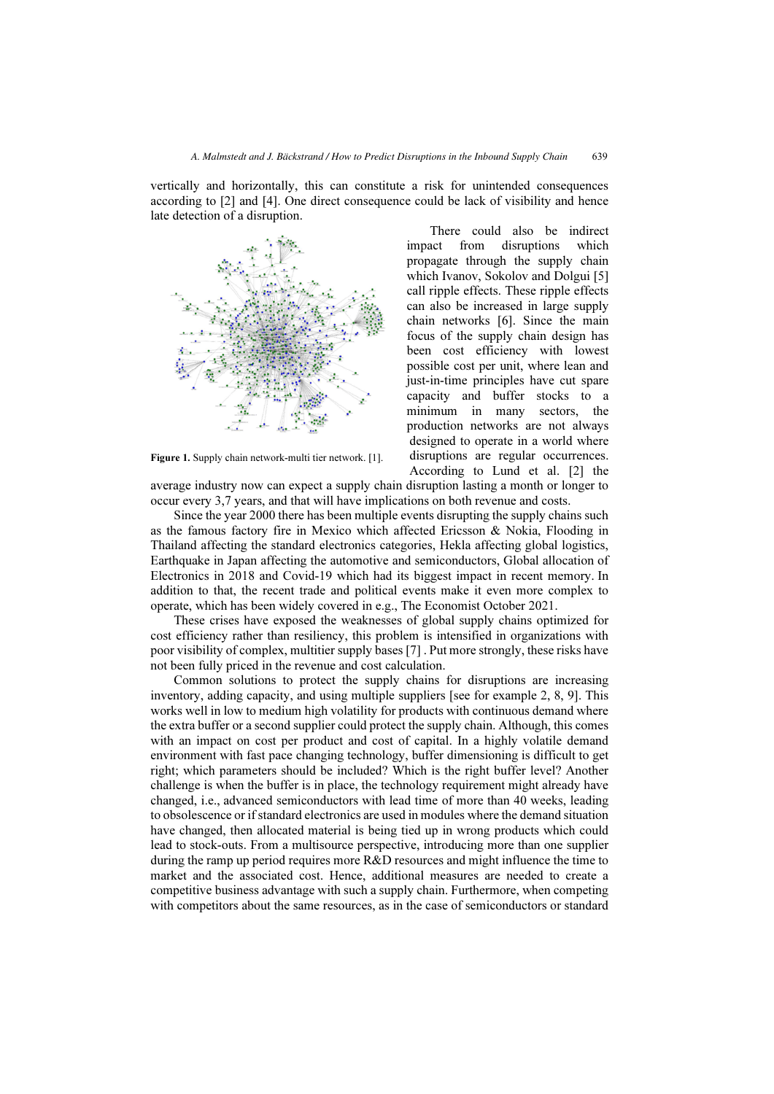vertically and horizontally, this can constitute a risk for unintended consequences according to [2] and [4]. One direct consequence could be lack of visibility and hence late detection of a disruption.



Figure 1. Supply chain network-multi tier network. [1].

There could also be indirect impact from disruptions which propagate through the supply chain which Ivanov, Sokolov and Dolgui [5] call ripple effects. These ripple effects can also be increased in large supply chain networks [6]. Since the main focus of the supply chain design has been cost efficiency with lowest possible cost per unit, where lean and just-in-time principles have cut spare capacity and buffer stocks to a minimum in many sectors, the production networks are not always designed to operate in a world where disruptions are regular occurrences. According to Lund et al. [2] the

average industry now can expect a supply chain disruption lasting a month or longer to occur every 3,7 years, and that will have implications on both revenue and costs.

Since the year 2000 there has been multiple events disrupting the supply chains such as the famous factory fire in Mexico which affected Ericsson & Nokia, Flooding in Thailand affecting the standard electronics categories, Hekla affecting global logistics, Earthquake in Japan affecting the automotive and semiconductors, Global allocation of Electronics in 2018 and Covid-19 which had its biggest impact in recent memory. In addition to that, the recent trade and political events make it even more complex to operate, which has been widely covered in e.g., The Economist October 2021.

These crises have exposed the weaknesses of global supply chains optimized for cost efficiency rather than resiliency, this problem is intensified in organizations with poor visibility of complex, multitier supply bases [7] . Put more strongly, these risks have not been fully priced in the revenue and cost calculation.

Common solutions to protect the supply chains for disruptions are increasing inventory, adding capacity, and using multiple suppliers [see for example 2, 8, 9]. This works well in low to medium high volatility for products with continuous demand where the extra buffer or a second supplier could protect the supply chain. Although, this comes with an impact on cost per product and cost of capital. In a highly volatile demand environment with fast pace changing technology, buffer dimensioning is difficult to get right; which parameters should be included? Which is the right buffer level? Another challenge is when the buffer is in place, the technology requirement might already have changed, i.e., advanced semiconductors with lead time of more than 40 weeks, leading to obsolescence or if standard electronics are used in modules where the demand situation have changed, then allocated material is being tied up in wrong products which could lead to stock-outs. From a multisource perspective, introducing more than one supplier during the ramp up period requires more R&D resources and might influence the time to market and the associated cost. Hence, additional measures are needed to create a competitive business advantage with such a supply chain. Furthermore, when competing with competitors about the same resources, as in the case of semiconductors or standard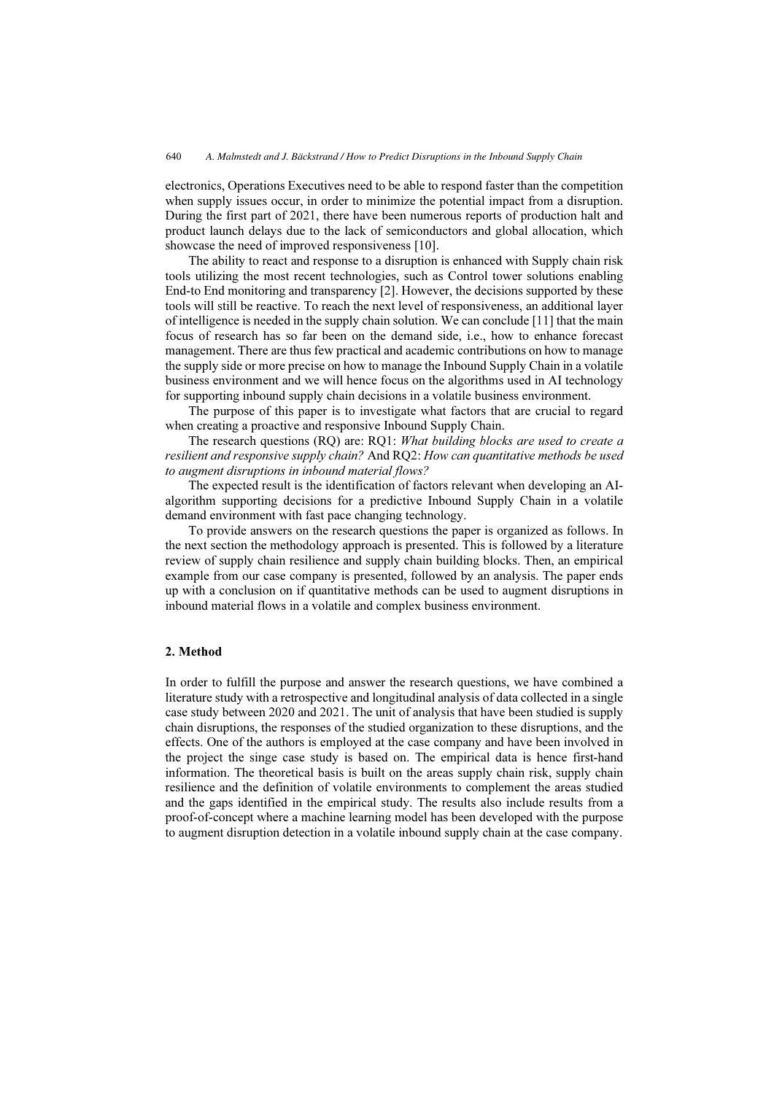electronics, Operations Executives need to be able to respond faster than the competition when supply issues occur, in order to minimize the potential impact from a disruption. During the first part of 2021, there have been numerous reports of production halt and product launch delays due to the lack of semiconductors and global allocation, which showcase the need of improved responsiveness [10].

The ability to react and response to a disruption is enhanced with Supply chain risk tools utilizing the most recent technologies, such as Control tower solutions enabling End-to End monitoring and transparency [2]. However, the decisions supported by these tools will still be reactive. To reach the next level of responsiveness, an additional layer of intelligence is needed in the supply chain solution. We can conclude [11] that the main focus of research has so far been on the demand side, i.e., how to enhance forecast management. There are thus few practical and academic contributions on how to manage the supply side or more precise on how to manage the Inbound Supply Chain in a volatile business environment and we will hence focus on the algorithms used in AI technology for supporting inbound supply chain decisions in a volatile business environment.

The purpose of this paper is to investigate what factors that are crucial to regard when creating a proactive and responsive Inbound Supply Chain.

The research questions (RQ) are: RQ1: What building blocks are used to create a resilient and responsive supply chain? And RQ2: How can quantitative methods be used to augment disruptions in inbound material flows?

The expected result is the identification of factors relevant when developing an AIalgorithm supporting decisions for a predictive Inbound Supply Chain in a volatile demand environment with fast pace changing technology.

To provide answers on the research questions the paper is organized as follows. In the next section the methodology approach is presented. This is followed by a literature review of supply chain resilience and supply chain building blocks. Then, an empirical example from our case company is presented, followed by an analysis. The paper ends up with a conclusion on if quantitative methods can be used to augment disruptions in inbound material flows in a volatile and complex business environment.

## 2. Method

In order to fulfill the purpose and answer the research questions, we have combined a literature study with a retrospective and longitudinal analysis of data collected in a single case study between 2020 and 2021. The unit of analysis that have been studied is supply chain disruptions, the responses of the studied organization to these disruptions, and the effects. One of the authors is employed at the case company and have been involved in the project the singe case study is based on. The empirical data is hence first-hand information. The theoretical basis is built on the areas supply chain risk, supply chain resilience and the definition of volatile environments to complement the areas studied and the gaps identified in the empirical study. The results also include results from a proof-of-concept where a machine learning model has been developed with the purpose to augment disruption detection in a volatile inbound supply chain at the case company.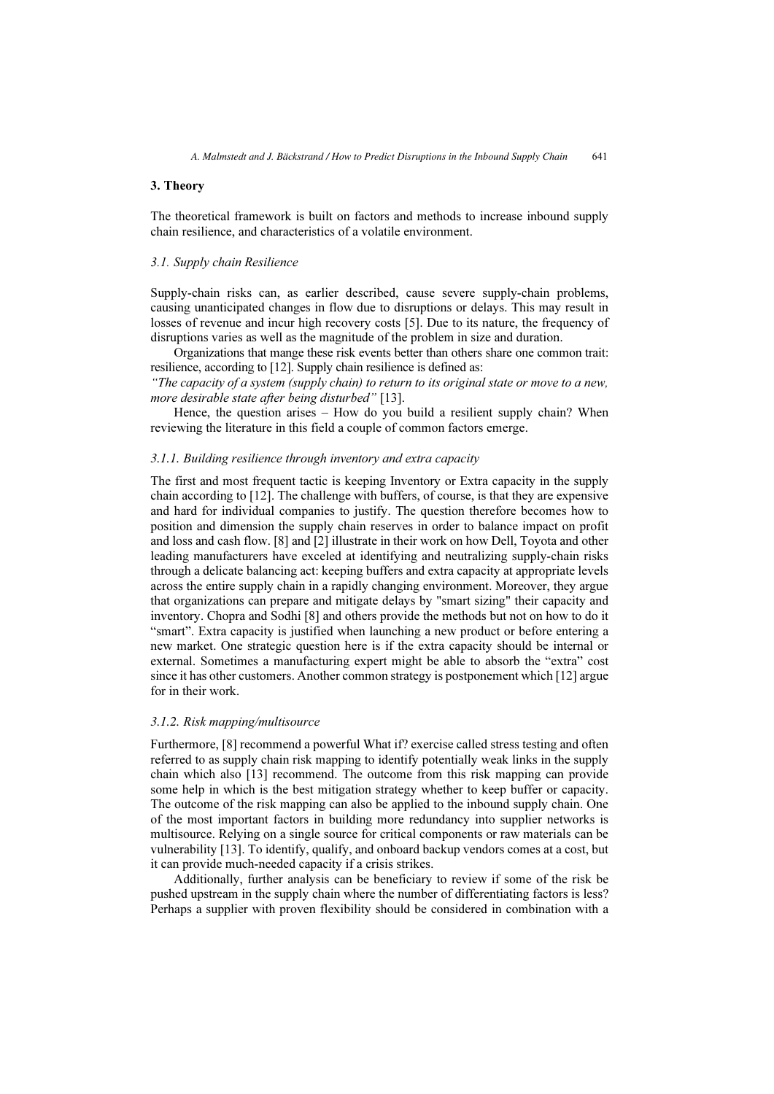## 3. Theory

The theoretical framework is built on factors and methods to increase inbound supply chain resilience, and characteristics of a volatile environment.

## 3.1. Supply chain Resilience

Supply-chain risks can, as earlier described, cause severe supply-chain problems, causing unanticipated changes in flow due to disruptions or delays. This may result in losses of revenue and incur high recovery costs [5]. Due to its nature, the frequency of disruptions varies as well as the magnitude of the problem in size and duration.

Organizations that mange these risk events better than others share one common trait: resilience, according to [12]. Supply chain resilience is defined as:

"The capacity of a system (supply chain) to return to its original state or move to a new, more desirable state after being disturbed" [13].

Hence, the question arises – How do you build a resilient supply chain? When reviewing the literature in this field a couple of common factors emerge.

# 3.1.1. Building resilience through inventory and extra capacity

The first and most frequent tactic is keeping Inventory or Extra capacity in the supply chain according to [12]. The challenge with buffers, of course, is that they are expensive and hard for individual companies to justify. The question therefore becomes how to position and dimension the supply chain reserves in order to balance impact on profit and loss and cash flow. [8] and [2] illustrate in their work on how Dell, Toyota and other leading manufacturers have exceled at identifying and neutralizing supply-chain risks through a delicate balancing act: keeping buffers and extra capacity at appropriate levels across the entire supply chain in a rapidly changing environment. Moreover, they argue that organizations can prepare and mitigate delays by "smart sizing" their capacity and inventory. Chopra and Sodhi [8] and others provide the methods but not on how to do it "smart". Extra capacity is justified when launching a new product or before entering a new market. One strategic question here is if the extra capacity should be internal or external. Sometimes a manufacturing expert might be able to absorb the "extra" cost since it has other customers. Another common strategy is postponement which [12] argue for in their work.

#### 3.1.2. Risk mapping/multisource

Furthermore, [8] recommend a powerful What if? exercise called stress testing and often referred to as supply chain risk mapping to identify potentially weak links in the supply chain which also [13] recommend. The outcome from this risk mapping can provide some help in which is the best mitigation strategy whether to keep buffer or capacity. The outcome of the risk mapping can also be applied to the inbound supply chain. One of the most important factors in building more redundancy into supplier networks is multisource. Relying on a single source for critical components or raw materials can be vulnerability [13]. To identify, qualify, and onboard backup vendors comes at a cost, but it can provide much-needed capacity if a crisis strikes.

Additionally, further analysis can be beneficiary to review if some of the risk be pushed upstream in the supply chain where the number of differentiating factors is less? Perhaps a supplier with proven flexibility should be considered in combination with a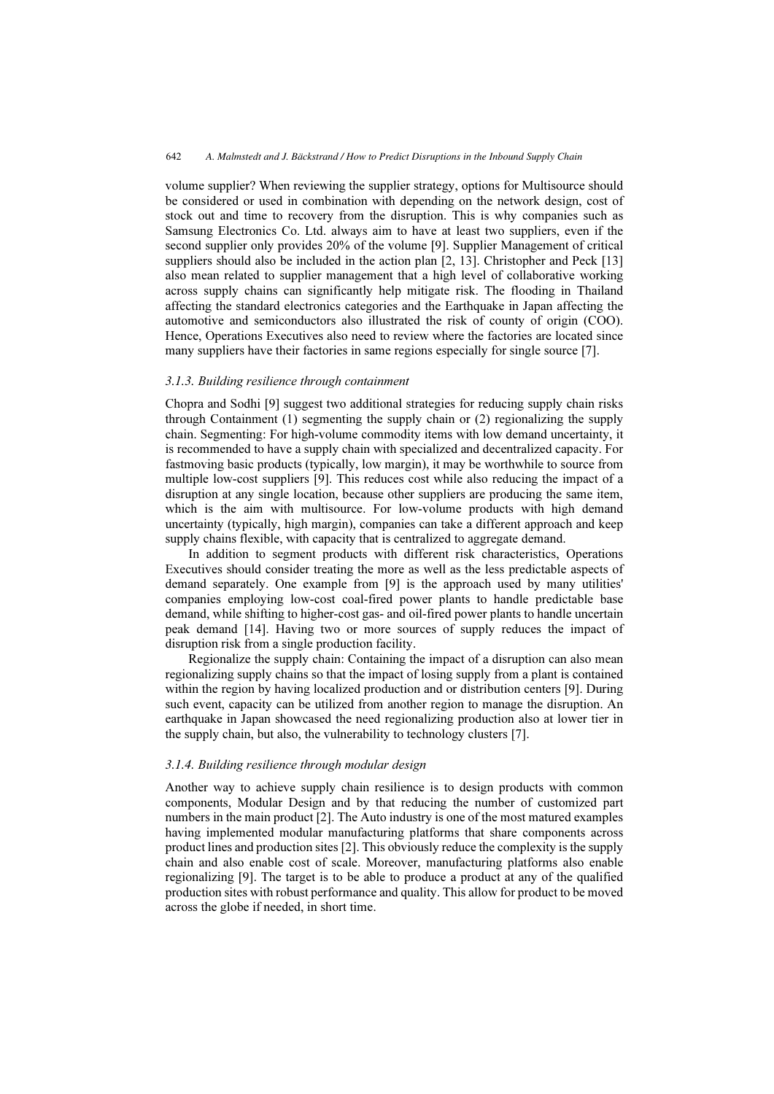volume supplier? When reviewing the supplier strategy, options for Multisource should be considered or used in combination with depending on the network design, cost of stock out and time to recovery from the disruption. This is why companies such as Samsung Electronics Co. Ltd. always aim to have at least two suppliers, even if the second supplier only provides 20% of the volume [9]. Supplier Management of critical suppliers should also be included in the action plan [2, 13]. Christopher and Peck [13] also mean related to supplier management that a high level of collaborative working across supply chains can significantly help mitigate risk. The flooding in Thailand affecting the standard electronics categories and the Earthquake in Japan affecting the automotive and semiconductors also illustrated the risk of county of origin (COO). Hence, Operations Executives also need to review where the factories are located since many suppliers have their factories in same regions especially for single source [7].

#### 3.1.3. Building resilience through containment

Chopra and Sodhi [9] suggest two additional strategies for reducing supply chain risks through Containment (1) segmenting the supply chain or (2) regionalizing the supply chain. Segmenting: For high-volume commodity items with low demand uncertainty, it is recommended to have a supply chain with specialized and decentralized capacity. For fastmoving basic products (typically, low margin), it may be worthwhile to source from multiple low-cost suppliers [9]. This reduces cost while also reducing the impact of a disruption at any single location, because other suppliers are producing the same item, which is the aim with multisource. For low-volume products with high demand uncertainty (typically, high margin), companies can take a different approach and keep supply chains flexible, with capacity that is centralized to aggregate demand.

In addition to segment products with different risk characteristics, Operations Executives should consider treating the more as well as the less predictable aspects of demand separately. One example from [9] is the approach used by many utilities' companies employing low-cost coal-fired power plants to handle predictable base demand, while shifting to higher-cost gas- and oil-fired power plants to handle uncertain peak demand [14]. Having two or more sources of supply reduces the impact of disruption risk from a single production facility.

Regionalize the supply chain: Containing the impact of a disruption can also mean regionalizing supply chains so that the impact of losing supply from a plant is contained within the region by having localized production and or distribution centers [9]. During such event, capacity can be utilized from another region to manage the disruption. An earthquake in Japan showcased the need regionalizing production also at lower tier in the supply chain, but also, the vulnerability to technology clusters [7].

#### 3.1.4. Building resilience through modular design

Another way to achieve supply chain resilience is to design products with common components, Modular Design and by that reducing the number of customized part numbers in the main product [2]. The Auto industry is one of the most matured examples having implemented modular manufacturing platforms that share components across product lines and production sites [2]. This obviously reduce the complexity is the supply chain and also enable cost of scale. Moreover, manufacturing platforms also enable regionalizing [9]. The target is to be able to produce a product at any of the qualified production sites with robust performance and quality. This allow for product to be moved across the globe if needed, in short time.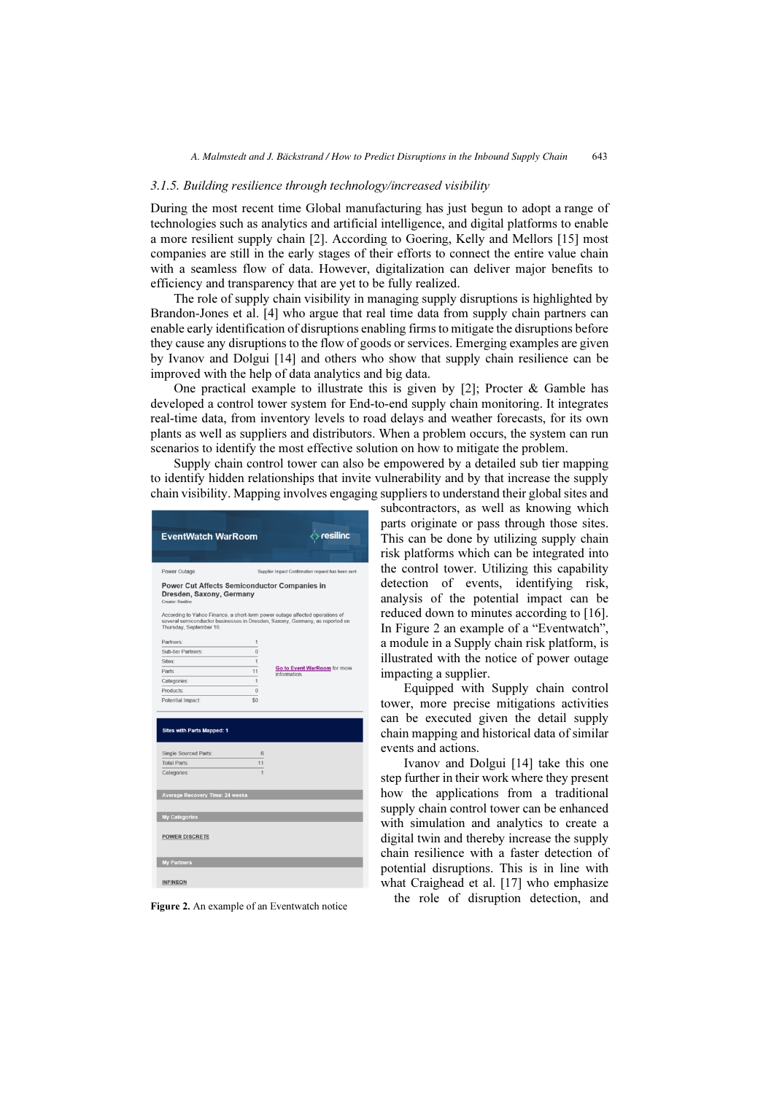#### 3.1.5. Building resilience through technology/increased visibility

During the most recent time Global manufacturing has just begun to adopt a range of technologies such as analytics and artificial intelligence, and digital platforms to enable a more resilient supply chain [2]. According to Goering, Kelly and Mellors [15] most companies are still in the early stages of their efforts to connect the entire value chain with a seamless flow of data. However, digitalization can deliver major benefits to efficiency and transparency that are yet to be fully realized.

The role of supply chain visibility in managing supply disruptions is highlighted by Brandon‐Jones et al. [4] who argue that real time data from supply chain partners can enable early identification of disruptions enabling firms to mitigate the disruptions before they cause any disruptions to the flow of goods or services. Emerging examples are given by Ivanov and Dolgui [14] and others who show that supply chain resilience can be improved with the help of data analytics and big data.

One practical example to illustrate this is given by [2]; Procter & Gamble has developed a control tower system for End-to-end supply chain monitoring. It integrates real-time data, from inventory levels to road delays and weather forecasts, for its own plants as well as suppliers and distributors. When a problem occurs, the system can run scenarios to identify the most effective solution on how to mitigate the problem.

Supply chain control tower can also be empowered by a detailed sub tier mapping to identify hidden relationships that invite vulnerability and by that increase the supply chain visibility. Mapping involves engaging suppliers to understand their global sites and

| <b>EventWatch WarRoom</b>                                                                            |                | resilinc                                                                     |
|------------------------------------------------------------------------------------------------------|----------------|------------------------------------------------------------------------------|
|                                                                                                      |                |                                                                              |
| Power Outage                                                                                         |                | Supplier Impact Confirmation request has been sent.                          |
| <b>Power Cut Affects Semiconductor Companies in</b><br>Dresden, Saxony, Germany<br>Creator: Resilinc |                | According to Yahoo Finance, a short-term power outage affected operations of |
| Thursday, September 16.                                                                              |                | several semiconductor businesses in Dresden, Saxony, Germany, as reported on |
| Partners:                                                                                            | 1              |                                                                              |
| Sub-tier Partners:                                                                                   | $\overline{0}$ |                                                                              |
| Sites:                                                                                               | $\overline{1}$ |                                                                              |
| Parts:                                                                                               | 11             | Go to Event WarRoom for more<br><i>information</i>                           |
| Categories:                                                                                          | $\overline{1}$ |                                                                              |
| Products:                                                                                            | $\bf{0}$       |                                                                              |
| Potential Impact:                                                                                    | \$0            |                                                                              |
| <b>Sites with Parts Mapped: 1</b><br>Single Sourced Parts:<br><b>Total Parts:</b><br>Categories:     | 6<br>11<br>1   |                                                                              |
| <b>Average Recovery Time: 24 weeks</b>                                                               |                |                                                                              |
| <b>My Categories</b>                                                                                 |                |                                                                              |
| <b>POWER DISCRETE</b>                                                                                |                |                                                                              |
| <b>My Partners</b>                                                                                   |                |                                                                              |
| <b>INFINEON</b>                                                                                      |                |                                                                              |

subcontractors, as well as knowing which parts originate or pass through those sites. This can be done by utilizing supply chain risk platforms which can be integrated into the control tower. Utilizing this capability detection of events, identifying risk, analysis of the potential impact can be reduced down to minutes according to [16]. In Figure 2 an example of a "Eventwatch", a module in a Supply chain risk platform, is illustrated with the notice of power outage impacting a supplier.

Equipped with Supply chain control tower, more precise mitigations activities can be executed given the detail supply chain mapping and historical data of similar events and actions.

Ivanov and Dolgui [14] take this one step further in their work where they present how the applications from a traditional supply chain control tower can be enhanced with simulation and analytics to create a digital twin and thereby increase the supply chain resilience with a faster detection of potential disruptions. This is in line with what Craighead et al. [17] who emphasize

Figure 2. An example of an Eventwatch notice the role of disruption detection, and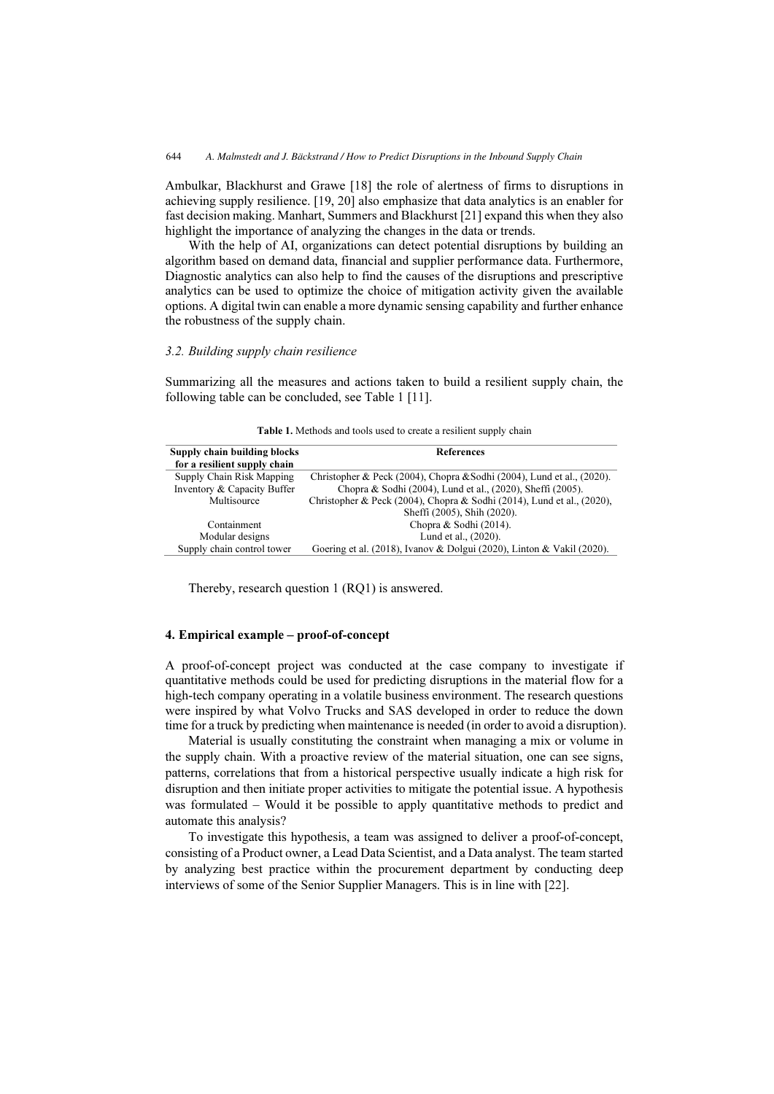Ambulkar, Blackhurst and Grawe [18] the role of alertness of firms to disruptions in achieving supply resilience. [19, 20] also emphasize that data analytics is an enabler for fast decision making. Manhart, Summers and Blackhurst [21] expand this when they also highlight the importance of analyzing the changes in the data or trends.

With the help of AI, organizations can detect potential disruptions by building an algorithm based on demand data, financial and supplier performance data. Furthermore, Diagnostic analytics can also help to find the causes of the disruptions and prescriptive analytics can be used to optimize the choice of mitigation activity given the available options. A digital twin can enable a more dynamic sensing capability and further enhance the robustness of the supply chain.

## 3.2. Building supply chain resilience

Summarizing all the measures and actions taken to build a resilient supply chain, the following table can be concluded, see Table 1 [11].

| Supply chain building blocks<br>for a resilient supply chain | <b>References</b>                                                      |
|--------------------------------------------------------------|------------------------------------------------------------------------|
| Supply Chain Risk Mapping                                    | Christopher & Peck (2004), Chopra & Sodhi (2004), Lund et al., (2020). |
| Inventory & Capacity Buffer                                  | Chopra & Sodhi (2004), Lund et al., (2020), Sheffi (2005).             |
| Multisource                                                  | Christopher & Peck (2004), Chopra & Sodhi (2014), Lund et al., (2020), |
|                                                              | Sheffi (2005), Shih (2020).                                            |
| Containment                                                  | Chopra $&$ Sodhi (2014).                                               |
| Modular designs                                              | Lund et al., (2020).                                                   |
| Supply chain control tower                                   | Goering et al. (2018), Ivanov & Dolgui (2020), Linton & Vakil (2020).  |

Table 1. Methods and tools used to create a resilient supply chain

Thereby, research question 1 (RQ1) is answered.

#### 4. Empirical example – proof-of-concept

A proof-of-concept project was conducted at the case company to investigate if quantitative methods could be used for predicting disruptions in the material flow for a high-tech company operating in a volatile business environment. The research questions were inspired by what Volvo Trucks and SAS developed in order to reduce the down time for a truck by predicting when maintenance is needed (in order to avoid a disruption).

Material is usually constituting the constraint when managing a mix or volume in the supply chain. With a proactive review of the material situation, one can see signs, patterns, correlations that from a historical perspective usually indicate a high risk for disruption and then initiate proper activities to mitigate the potential issue. A hypothesis was formulated – Would it be possible to apply quantitative methods to predict and automate this analysis?

To investigate this hypothesis, a team was assigned to deliver a proof-of-concept, consisting of a Product owner, a Lead Data Scientist, and a Data analyst. The team started by analyzing best practice within the procurement department by conducting deep interviews of some of the Senior Supplier Managers. This is in line with [22].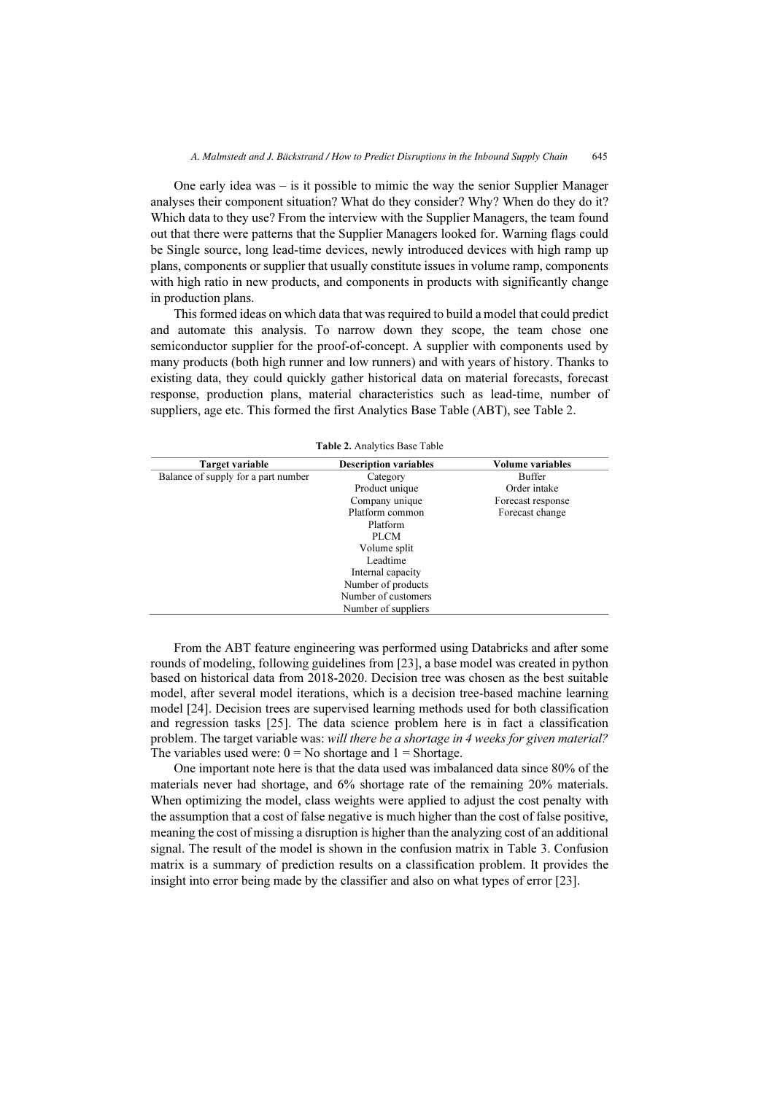One early idea was – is it possible to mimic the way the senior Supplier Manager analyses their component situation? What do they consider? Why? When do they do it? Which data to they use? From the interview with the Supplier Managers, the team found out that there were patterns that the Supplier Managers looked for. Warning flags could be Single source, long lead-time devices, newly introduced devices with high ramp up plans, components or supplier that usually constitute issues in volume ramp, components with high ratio in new products, and components in products with significantly change in production plans.

This formed ideas on which data that was required to build a model that could predict and automate this analysis. To narrow down they scope, the team chose one semiconductor supplier for the proof-of-concept. A supplier with components used by many products (both high runner and low runners) and with years of history. Thanks to existing data, they could quickly gather historical data on material forecasts, forecast response, production plans, material characteristics such as lead-time, number of suppliers, age etc. This formed the first Analytics Base Table (ABT), see Table 2.

| Target variable                     | <b>Description variables</b> | Volume variables  |
|-------------------------------------|------------------------------|-------------------|
| Balance of supply for a part number | Category                     | <b>Buffer</b>     |
|                                     | Product unique               | Order intake      |
|                                     | Company unique               | Forecast response |
|                                     | Platform common              | Forecast change   |
|                                     | Platform                     |                   |
|                                     | PLCM                         |                   |
|                                     | Volume split                 |                   |
|                                     | Leadtime                     |                   |
|                                     | Internal capacity            |                   |
|                                     | Number of products           |                   |
|                                     | Number of customers          |                   |
|                                     | Number of suppliers          |                   |

|  |  | <b>Table 2.</b> Analytics Base Table |  |  |
|--|--|--------------------------------------|--|--|
|--|--|--------------------------------------|--|--|

From the ABT feature engineering was performed using Databricks and after some rounds of modeling, following guidelines from [23], a base model was created in python based on historical data from 2018-2020. Decision tree was chosen as the best suitable model, after several model iterations, which is a decision tree-based machine learning model [24]. Decision trees are supervised learning methods used for both classification and regression tasks [25]. The data science problem here is in fact a classification problem. The target variable was: will there be a shortage in 4 weeks for given material? The variables used were:  $0 = No$  shortage and  $1 = Shortage$ .

One important note here is that the data used was imbalanced data since 80% of the materials never had shortage, and 6% shortage rate of the remaining 20% materials. When optimizing the model, class weights were applied to adjust the cost penalty with the assumption that a cost of false negative is much higher than the cost of false positive, meaning the cost of missing a disruption is higher than the analyzing cost of an additional signal. The result of the model is shown in the confusion matrix in Table 3. Confusion matrix is a summary of prediction results on a classification problem. It provides the insight into error being made by the classifier and also on what types of error [23].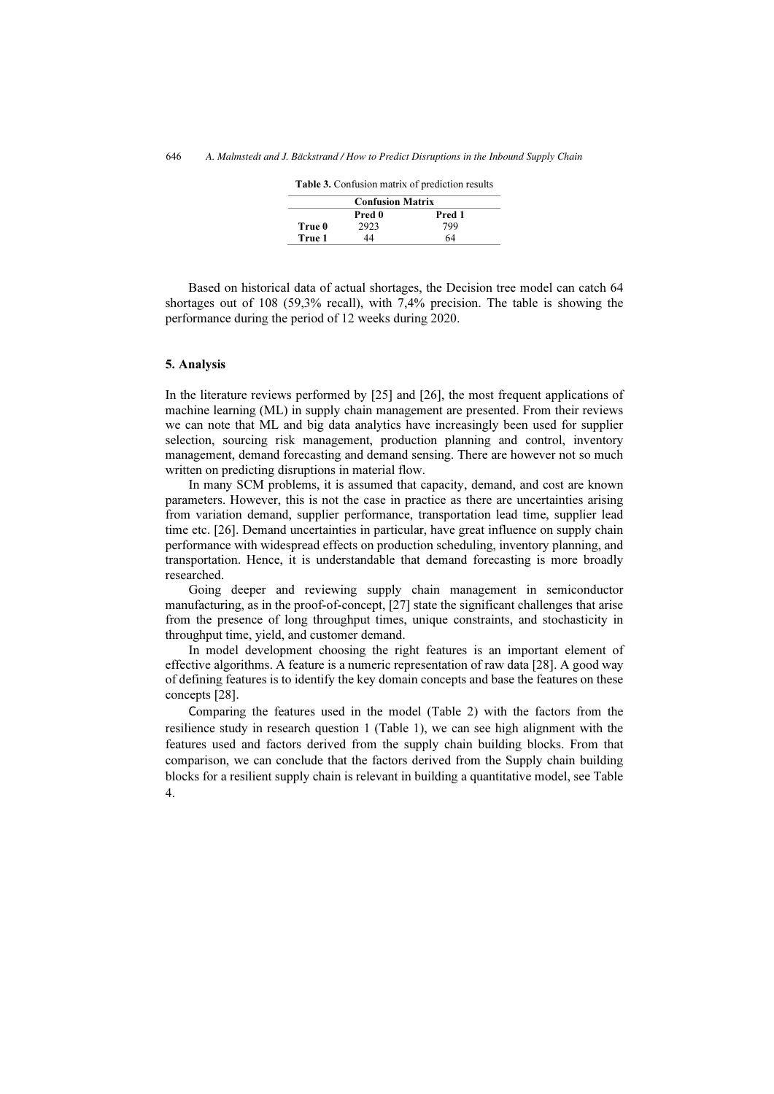|        | <b>Confusion Matrix</b> |        |  |
|--------|-------------------------|--------|--|
|        | Pred 0                  | Pred 1 |  |
| True 0 | 2923                    | 799    |  |
| True 1 | 44                      | 64     |  |

Table 3. Confusion matrix of prediction results

Based on historical data of actual shortages, the Decision tree model can catch 64 shortages out of 108 (59,3% recall), with 7,4% precision. The table is showing the performance during the period of 12 weeks during 2020.

#### 5. Analysis

In the literature reviews performed by [25] and [26], the most frequent applications of machine learning (ML) in supply chain management are presented. From their reviews we can note that ML and big data analytics have increasingly been used for supplier selection, sourcing risk management, production planning and control, inventory management, demand forecasting and demand sensing. There are however not so much written on predicting disruptions in material flow.

In many SCM problems, it is assumed that capacity, demand, and cost are known parameters. However, this is not the case in practice as there are uncertainties arising from variation demand, supplier performance, transportation lead time, supplier lead time etc. [26]. Demand uncertainties in particular, have great influence on supply chain performance with widespread effects on production scheduling, inventory planning, and transportation. Hence, it is understandable that demand forecasting is more broadly researched.

Going deeper and reviewing supply chain management in semiconductor manufacturing, as in the proof-of-concept, [27] state the significant challenges that arise from the presence of long throughput times, unique constraints, and stochasticity in throughput time, yield, and customer demand.

In model development choosing the right features is an important element of effective algorithms. A feature is a numeric representation of raw data [28]. A good way of defining features is to identify the key domain concepts and base the features on these concepts [28].

Comparing the features used in the model (Table 2) with the factors from the resilience study in research question 1 (Table 1), we can see high alignment with the features used and factors derived from the supply chain building blocks. From that comparison, we can conclude that the factors derived from the Supply chain building blocks for a resilient supply chain is relevant in building a quantitative model, see Table 4.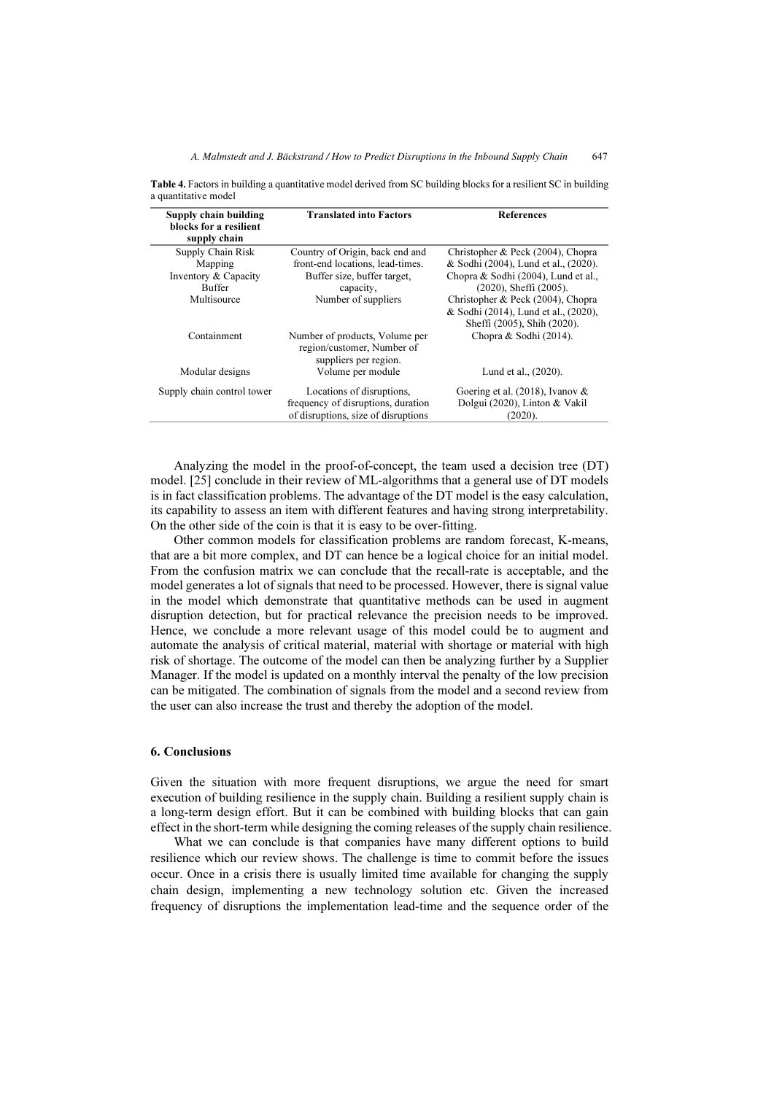| Supply chain building<br>blocks for a resilient<br>supply chain | <b>Translated into Factors</b>                                                        | <b>References</b>                                                   |
|-----------------------------------------------------------------|---------------------------------------------------------------------------------------|---------------------------------------------------------------------|
| Supply Chain Risk                                               | Country of Origin, back end and                                                       | Christopher & Peck (2004), Chopra                                   |
| Mapping                                                         | front-end locations, lead-times.                                                      | & Sodhi (2004), Lund et al., (2020).                                |
| Inventory & Capacity                                            | Buffer size, buffer target,                                                           | Chopra & Sodhi (2004), Lund et al.,                                 |
| <b>Buffer</b>                                                   | capacity,                                                                             | (2020), Sheffi (2005).                                              |
| Multisource                                                     | Number of suppliers                                                                   | Christopher & Peck (2004), Chopra                                   |
|                                                                 |                                                                                       | & Sodhi (2014), Lund et al., (2020),<br>Sheffi (2005), Shih (2020). |
| Containment                                                     | Number of products, Volume per<br>region/customer, Number of<br>suppliers per region. | Chopra & Sodhi (2014).                                              |
| Modular designs                                                 | Volume per module                                                                     | Lund et al., (2020).                                                |
| Supply chain control tower                                      | Locations of disruptions,                                                             | Goering et al. $(2018)$ , Ivanov &                                  |
|                                                                 | frequency of disruptions, duration                                                    | Dolgui (2020), Linton & Vakil                                       |
|                                                                 | of disruptions, size of disruptions                                                   | (2020).                                                             |

Table 4. Factors in building a quantitative model derived from SC building blocks for a resilient SC in building a quantitative model

Analyzing the model in the proof-of-concept, the team used a decision tree (DT) model. [25] conclude in their review of ML-algorithms that a general use of DT models is in fact classification problems. The advantage of the DT model is the easy calculation, its capability to assess an item with different features and having strong interpretability. On the other side of the coin is that it is easy to be over-fitting.

Other common models for classification problems are random forecast, K-means, that are a bit more complex, and DT can hence be a logical choice for an initial model. From the confusion matrix we can conclude that the recall-rate is acceptable, and the model generates a lot of signals that need to be processed. However, there is signal value in the model which demonstrate that quantitative methods can be used in augment disruption detection, but for practical relevance the precision needs to be improved. Hence, we conclude a more relevant usage of this model could be to augment and automate the analysis of critical material, material with shortage or material with high risk of shortage. The outcome of the model can then be analyzing further by a Supplier Manager. If the model is updated on a monthly interval the penalty of the low precision can be mitigated. The combination of signals from the model and a second review from the user can also increase the trust and thereby the adoption of the model.

#### 6. Conclusions

Given the situation with more frequent disruptions, we argue the need for smart execution of building resilience in the supply chain. Building a resilient supply chain is a long-term design effort. But it can be combined with building blocks that can gain effect in the short-term while designing the coming releases of the supply chain resilience.

What we can conclude is that companies have many different options to build resilience which our review shows. The challenge is time to commit before the issues occur. Once in a crisis there is usually limited time available for changing the supply chain design, implementing a new technology solution etc. Given the increased frequency of disruptions the implementation lead-time and the sequence order of the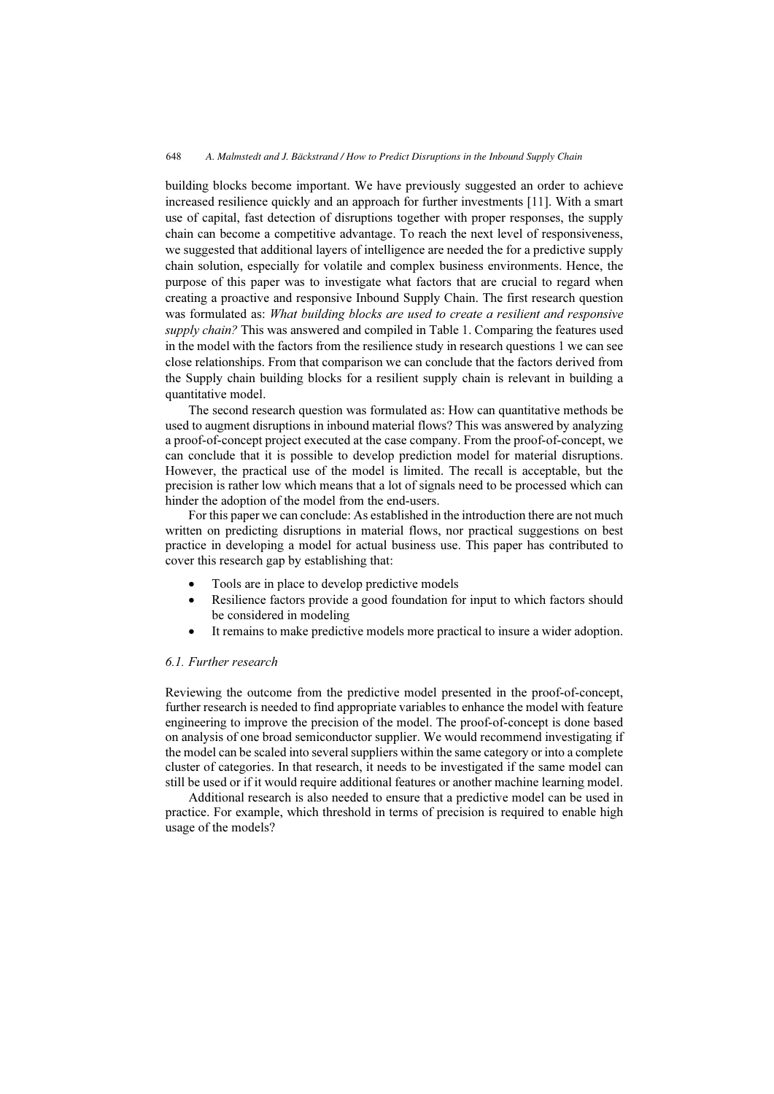building blocks become important. We have previously suggested an order to achieve increased resilience quickly and an approach for further investments [11]. With a smart use of capital, fast detection of disruptions together with proper responses, the supply chain can become a competitive advantage. To reach the next level of responsiveness, we suggested that additional layers of intelligence are needed the for a predictive supply chain solution, especially for volatile and complex business environments. Hence, the purpose of this paper was to investigate what factors that are crucial to regard when creating a proactive and responsive Inbound Supply Chain. The first research question was formulated as: What building blocks are used to create a resilient and responsive supply chain? This was answered and compiled in Table 1. Comparing the features used in the model with the factors from the resilience study in research questions 1 we can see close relationships. From that comparison we can conclude that the factors derived from the Supply chain building blocks for a resilient supply chain is relevant in building a quantitative model.

The second research question was formulated as: How can quantitative methods be used to augment disruptions in inbound material flows? This was answered by analyzing a proof-of-concept project executed at the case company. From the proof-of-concept, we can conclude that it is possible to develop prediction model for material disruptions. However, the practical use of the model is limited. The recall is acceptable, but the precision is rather low which means that a lot of signals need to be processed which can hinder the adoption of the model from the end-users.

For this paper we can conclude: As established in the introduction there are not much written on predicting disruptions in material flows, nor practical suggestions on best practice in developing a model for actual business use. This paper has contributed to cover this research gap by establishing that:

- $\bullet$ Tools are in place to develop predictive models
- $\bullet$  Resilience factors provide a good foundation for input to which factors should be considered in modeling
- $\bullet$ It remains to make predictive models more practical to insure a wider adoption.

## 6.1. Further research

Reviewing the outcome from the predictive model presented in the proof-of-concept, further research is needed to find appropriate variables to enhance the model with feature engineering to improve the precision of the model. The proof-of-concept is done based on analysis of one broad semiconductor supplier. We would recommend investigating if the model can be scaled into several suppliers within the same category or into a complete cluster of categories. In that research, it needs to be investigated if the same model can still be used or if it would require additional features or another machine learning model.

Additional research is also needed to ensure that a predictive model can be used in practice. For example, which threshold in terms of precision is required to enable high usage of the models?